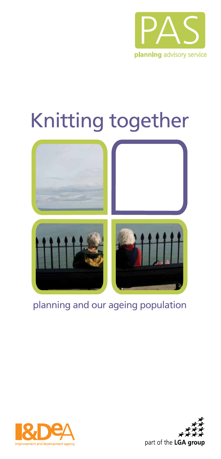

# Knitting together



## planning and our ageing population



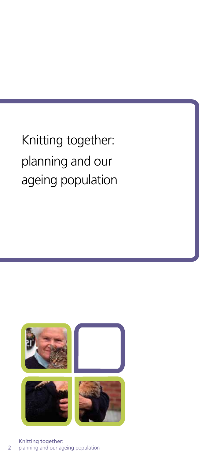## Knitting together: planning and our ageing population

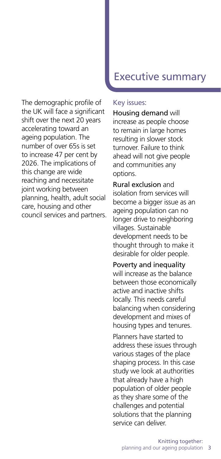The demographic profile of the UK will face a significant shift over the next 20 years accelerating toward an ageing population. The number of over 65s is set to increase 47 per cent by 2026. The implications of this change are wide reaching and necessitate joint working between planning, health, adult social care, housing and other council services and partners.

## Executive summary

#### Key issues:

Housing demand will increase as people choose to remain in large homes resulting in slower stock turnover. Failure to think ahead will not give people and communities any options.

Rural exclusion and isolation from services will become a bigger issue as an ageing population can no longer drive to neighboring villages. Sustainable development needs to be thought through to make it desirable for older people.

Poverty and inequality will increase as the balance between those economically active and inactive shifts locally. This needs careful balancing when considering development and mixes of housing types and tenures.

Planners have started to address these issues through various stages of the place shaping process. In this case study we look at authorities that already have a high population of older people as they share some of the challenges and potential solutions that the planning service can deliver.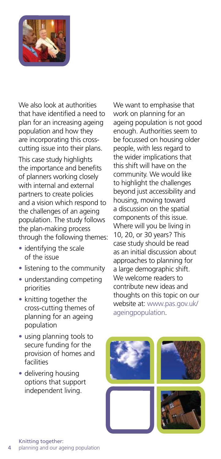

We also look at authorities that have identified a need to plan for an increasing ageing population and how they are incorporating this crosscutting issue into their plans.

This case study highlights the importance and benefits of planners working closely with internal and external partners to create policies and a vision which respond to the challenges of an ageing population. The study follows the plan-making process through the following themes:

- identifying the scale of the issue
- listening to the community
- understanding competing priorities
- knitting together the cross-cutting themes of planning for an ageing population
- using planning tools to secure funding for the provision of homes and facilities
- delivering housing options that support independent living.

We want to emphasise that work on planning for an ageing population is not good enough. Authorities seem to be focussed on housing older people, with less regard to the wider implications that this shift will have on the community. We would like to highlight the challenges beyond just accessibility and housing, moving toward a discussion on the spatial components of this issue. Where will you be living in 10, 20, or 30 years? This case study should be read as an initial discussion about approaches to planning for a large demographic shift. We welcome readers to contribute new ideas and thoughts on this topic on our website at: www.pas.gov.uk/ ageingpopulation.







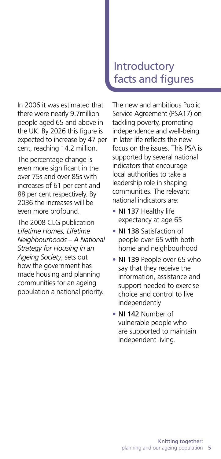In 2006 it was estimated that there were nearly 9.7million people aged 65 and above in the UK. By 2026 this figure is expected to increase by 47 per cent, reaching 14.2 million.

The percentage change is even more significant in the over 75s and over 85s with increases of 61 per cent and 88 per cent respectively. By 2036 the increases will be even more profound.

The 2008 CLG publication *Lifetime Homes, Lifetime Neighbourhoods – A National Strategy for Housing in an Ageing Society*, sets out how the government has made housing and planning communities for an ageing population a national priority.

## **Introductory** facts and figures

The new and ambitious Public Service Agreement (PSA17) on tackling poverty, promoting independence and well-being in later life reflects the new focus on the issues. This PSA is supported by several national indicators that encourage local authorities to take a leadership role in shaping communities. The relevant national indicators are:

- NI 137 Healthy life expectancy at age 65
- NJ 138 Satisfaction of people over 65 with both home and neighbourhood
- NI 139 People over 65 who say that they receive the information, assistance and support needed to exercise choice and control to live independently
- NI 142 Number of vulnerable people who are supported to maintain independent living.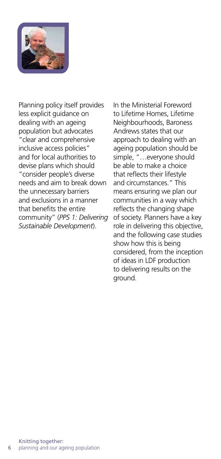

Planning policy itself provides less explicit guidance on dealing with an ageing population but advocates "clear and comprehensive inclusive access policies" and for local authorities to devise plans which should "consider people's diverse needs and aim to break down the unnecessary barriers and exclusions in a manner that benefits the entire community" (*PPS 1: Delivering Sustainable Development*).

In the Ministerial Foreword to Lifetime Homes, Lifetime Neighbourhoods, Baroness Andrews states that our approach to dealing with an ageing population should be simple, "…everyone should be able to make a choice that reflects their lifestyle and circumstances." This means ensuring we plan our communities in a way which reflects the changing shape of society. Planners have a key role in delivering this objective, and the following case studies show how this is being considered, from the inception of ideas in LDF production to delivering results on the ground.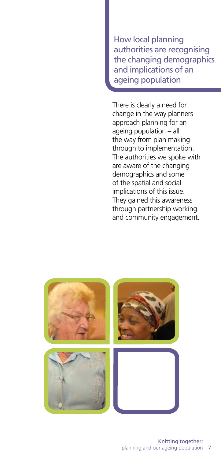How local planning authorities are recognising the changing demographics and implications of an ageing population

There is clearly a need for change in the way planners approach planning for an ageing population – all the way from plan making through to implementation. The authorities we spoke with are aware of the changing demographics and some of the spatial and social implications of this issue. They gained this awareness through partnership working and community engagement.

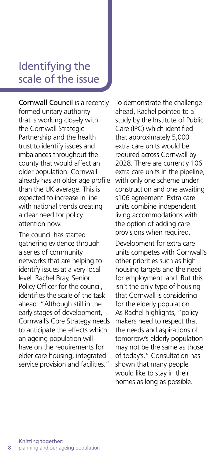## Identifying the scale of the issue

Cornwall Council is a recently formed unitary authority that is working closely with the Cornwall Strategic Partnership and the health trust to identify issues and imbalances throughout the county that would affect an older population. Cornwall already has an older age profile than the UK average. This is expected to increase in line with national trends creating a clear need for policy attention now.

The council has started gathering evidence through a series of community networks that are helping to identify issues at a very local level. Rachel Bray, Senior Policy Officer for the council, identifies the scale of the task ahead: "Although still in the early stages of development, Cornwall's Core Strategy needs to anticipate the effects which an ageing population will have on the requirements for elder care housing, integrated service provision and facilities."

To demonstrate the challenge ahead, Rachel pointed to a study by the Institute of Public Care (IPC) which identified that approximately 5,000 extra care units would be required across Cornwall by 2028. There are currently 106 extra care units in the pipeline, with only one scheme under construction and one awaiting s106 agreement. Extra care units combine independent living accommodations with the option of adding care provisions when required.

Development for extra care units competes with Cornwall's other priorities such as high housing targets and the need for employment land. But this isn't the only type of housing that Cornwall is considering for the elderly population. As Rachel highlights, "policy makers need to respect that the needs and aspirations of tomorrow's elderly population may not be the same as those of today's." Consultation has shown that many people would like to stay in their homes as long as possible.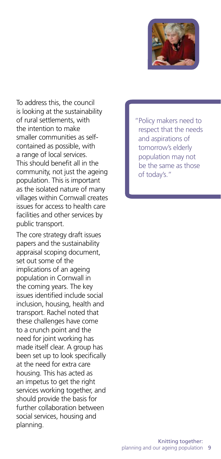

To address this, the council is looking at the sustainability of rural settlements, with the intention to make smaller communities as selfcontained as possible, with a range of local services. This should benefit all in the community, not just the ageing population. This is important as the isolated nature of many villages within Cornwall creates issues for access to health care facilities and other services by public transport.

The core strategy draft issues papers and the sustainability appraisal scoping document, set out some of the implications of an ageing population in Cornwall in the coming years. The key issues identified include social inclusion, housing, health and transport. Rachel noted that these challenges have come to a crunch point and the need for joint working has made itself clear. A group has been set up to look specifically at the need for extra care housing. This has acted as an impetus to get the right services working together, and should provide the basis for further collaboration between social services, housing and planning.

"Policy makers need to respect that the needs and aspirations of tomorrow's elderly population may not be the same as those of today's."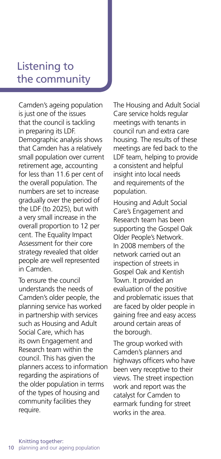## Listening to the community

Camden's ageing population is just one of the issues that the council is tackling in preparing its LDF. Demographic analysis shows that Camden has a relatively small population over current retirement age, accounting for less than 11.6 per cent of the overall population. The numbers are set to increase gradually over the period of the LDF (to 2025), but with a very small increase in the overall proportion to 12 per cent. The Equality Impact Assessment for their core strategy revealed that older people are well represented in Camden.

To ensure the council understands the needs of Camden's older people, the planning service has worked in partnership with services such as Housing and Adult Social Care, which has its own Engagement and Research team within the council. This has given the planners access to information regarding the aspirations of the older population in terms of the types of housing and community facilities they require.

The Housing and Adult Social Care service holds regular meetings with tenants in council run and extra care housing. The results of these meetings are fed back to the LDF team, helping to provide a consistent and helpful insight into local needs and requirements of the population.

Housing and Adult Social Care's Engagement and Research team has been supporting the Gospel Oak Older People's Network. In 2008 members of the network carried out an inspection of streets in Gospel Oak and Kentish Town. It provided an evaluation of the positive and problematic issues that are faced by older people in gaining free and easy access around certain areas of the borough.

The group worked with Camden's planners and highways officers who have been very receptive to their views. The street inspection work and report was the catalyst for Camden to earmark funding for street works in the area.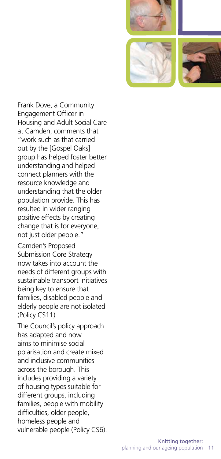





Frank Dove, a Community Engagement Officer in Housing and Adult Social Care at Camden, comments that "work such as that carried out by the [Gospel Oaks] group has helped foster better understanding and helped connect planners with the resource knowledge and understanding that the older population provide. This has resulted in wider ranging positive effects by creating change that is for everyone, not just older people."

Camden's Proposed Submission Core Strategy now takes into account the needs of different groups with sustainable transport initiatives being key to ensure that families, disabled people and elderly people are not isolated (Policy CS11).

The Council's policy approach has adapted and now aims to minimise social polarisation and create mixed and inclusive communities across the borough. This includes providing a variety of housing types suitable for different groups, including families, people with mobility difficulties, older people, homeless people and vulnerable people (Policy CS6).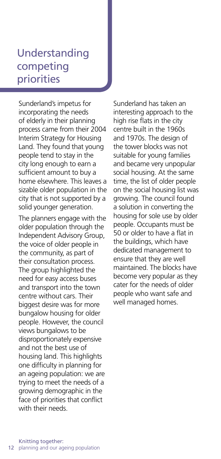## Understanding competing priorities

Sunderland's impetus for incorporating the needs of elderly in their planning process came from their 2004 Interim Strategy for Housing Land. They found that young people tend to stay in the city long enough to earn a sufficient amount to buy a home elsewhere. This leaves a sizable older population in the city that is not supported by a solid younger generation.

The planners engage with the older population through the Independent Advisory Group, the voice of older people in the community, as part of their consultation process. The group highlighted the need for easy access buses and transport into the town centre without cars. Their biggest desire was for more bungalow housing for older people. However, the council views bungalows to be disproportionately expensive and not the best use of housing land. This highlights one difficulty in planning for an ageing population: we are trying to meet the needs of a growing demographic in the face of priorities that conflict with their needs.

Sunderland has taken an interesting approach to the high rise flats in the city centre built in the 1960s and 1970s. The design of the tower blocks was not suitable for young families and became very unpopular social housing. At the same time, the list of older people on the social housing list was growing. The council found a solution in converting the housing for sole use by older people. Occupants must be 50 or older to have a flat in the buildings, which have dedicated management to ensure that they are well maintained. The blocks have become very popular as they cater for the needs of older people who want safe and well managed homes.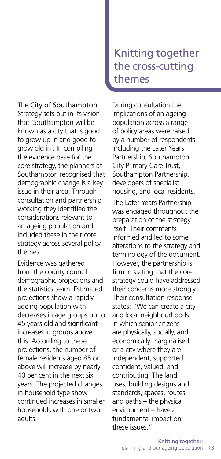#### The City of Southampton

Strategy sets out in its vision that 'Southampton will be known as a city that is good to grow up in and good to grow old in'. In compiling the evidence base for the core strategy, the planners at Southampton recognised that demographic change is a key issue in their area. Through consultation and partnership working they identified the considerations relevant to an ageing population and included these in their core strategy across several policy themes.

Evidence was gathered from the county council demographic projections and the statistics team. Estimated projections show a rapidly ageing population with decreases in age groups up to 45 years old and significant increases in groups above this. According to these projections, the number of female residents aged 85 or above will increase by nearly 40 per cent in the next six years. The projected changes in household type show continued increases in smaller households with one or two adults.

## Knitting together the cross-cutting themes

During consultation the implications of an ageing population across a range of policy areas were raised by a number of respondents including the Later Years Partnership, Southampton City Primary Care Trust, Southampton Partnership, developers of specialist housing, and local residents.

The Later Years Partnership was engaged throughout the preparation of the strategy itself. Their comments informed and led to some alterations to the strategy and terminology of the document. However, the partnership is firm in stating that the core strategy could have addressed their concerns more strongly. Their consultation response states: "We can create a city and local neighbourhoods in which senior citizens are physically, socially, and economically marginalised, or a city where they are independent, supported, confident, valued, and contributing. The land uses, building designs and standards, spaces, routes and paths – the physical environment – have a fundamental impact on these issues."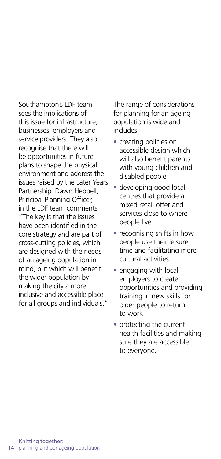Southampton's LDF team sees the implications of this issue for infrastructure, businesses, employers and service providers. They also recognise that there will be opportunities in future plans to shape the physical environment and address the issues raised by the Later Years Partnership. Dawn Heppell, Principal Planning Officer, in the LDF team comments "The key is that the issues have been identified in the core strategy and are part of cross-cutting policies, which are designed with the needs of an ageing population in mind, but which will benefit the wider population by making the city a more inclusive and accessible place for all groups and individuals."

The range of considerations for planning for an ageing population is wide and includes:

- creating policies on accessible design which will also benefit parents with young children and disabled people
- developing good local centres that provide a mixed retail offer and services close to where people live
- recognising shifts in how people use their leisure time and facilitating more cultural activities
- engaging with local employers to create opportunities and providing training in new skills for older people to return to work
- protecting the current health facilities and making sure they are accessible to everyone.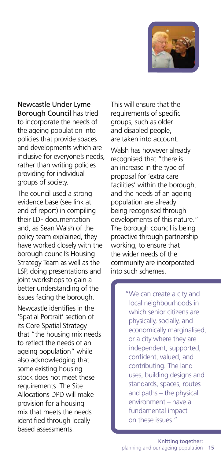

Newcastle Under Lyme Borough Council has tried to incorporate the needs of the ageing population into policies that provide spaces and developments which are inclusive for everyone's needs, rather than writing policies providing for individual groups of society.

The council used a strong evidence base (see link at end of report) in compiling their LDF documentation and, as Sean Walsh of the policy team explained, they have worked closely with the borough council's Housing Strategy Team as well as the LSP, doing presentations and joint workshops to gain a better understanding of the issues facing the borough.

Newcastle identifies in the 'Spatial Portrait' section of its Core Spatial Strategy that "the housing mix needs to reflect the needs of an ageing population" while also acknowledging that some existing housing stock does not meet these requirements. The Site Allocations DPD will make provision for a housing mix that meets the needs identified through locally based assessments.

This will ensure that the requirements of specific groups, such as older and disabled people, are taken into account.

Walsh has however already recognised that "there is an increase in the type of proposal for 'extra care facilities' within the borough, and the needs of an ageing population are already being recognised through developments of this nature." The borough council is being proactive through partnership working, to ensure that the wider needs of the community are incorporated into such schemes.

> "We can create a city and local neighbourhoods in which senior citizens are physically, socially, and economically marginalised, or a city where they are independent, supported, confident, valued, and contributing. The land uses, building designs and standards, spaces, routes and paths – the physical environment – have a fundamental impact on these issues."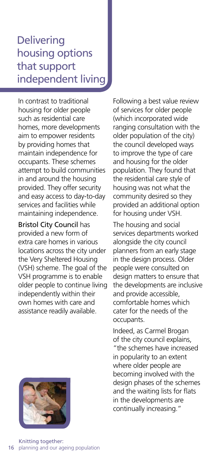## **Delivering** housing options that support independent living

In contrast to traditional housing for older people such as residential care homes, more developments aim to empower residents by providing homes that maintain independence for occupants. These schemes attempt to build communities in and around the housing provided. They offer security and easy access to day-to-day services and facilities while maintaining independence.

Bristol City Council has provided a new form of extra care homes in various locations across the city under the Very Sheltered Housing (VSH) scheme. The goal of the VSH programme is to enable older people to continue living independently within their own homes with care and assistance readily available.



Following a best value review of services for older people (which incorporated wide ranging consultation with the older population of the city) the council developed ways to improve the type of care and housing for the older population. They found that the residential care style of housing was not what the community desired so they provided an additional option for housing under VSH.

The housing and social services departments worked alongside the city council planners from an early stage in the design process. Older people were consulted on design matters to ensure that the developments are inclusive and provide accessible, comfortable homes which cater for the needs of the occupants.

Indeed, as Carmel Brogan of the city council explains, "the schemes have increased in popularity to an extent where older people are becoming involved with the design phases of the schemes and the waiting lists for flats in the developments are continually increasing."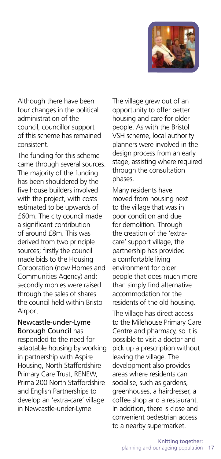

Although there have been four changes in the political administration of the council, councillor support of this scheme has remained consistent.

The funding for this scheme came through several sources. The majority of the funding has been shouldered by the five house builders involved with the project, with costs estimated to be upwards of £60m. The city council made a significant contribution of around £8m. This was derived from two principle sources; firstly the council made bids to the Housing Corporation (now Homes and Communities Agency) and; secondly monies were raised through the sales of shares the council held within Bristol Airport.

Newcastle-under-Lyme Borough Council has responded to the need for adaptable housing by working in partnership with Aspire Housing, North Staffordshire Primary Care Trust, RENEW, Prima 200 North Staffordshire and English Partnerships to develop an 'extra-care' village in Newcastle-under-Lyme.

The village grew out of an opportunity to offer better housing and care for older people. As with the Bristol VSH scheme, local authority planners were involved in the design process from an early stage, assisting where required through the consultation phases.

Many residents have moved from housing next to the village that was in poor condition and due for demolition. Through the creation of the 'extracare' support village, the partnership has provided a comfortable living environment for older people that does much more than simply find alternative accommodation for the residents of the old housing.

The village has direct access to the Milehouse Primary Care Centre and pharmacy, so it is possible to visit a doctor and pick up a prescription without leaving the village. The development also provides areas where residents can socialise, such as gardens, greenhouses, a hairdresser, a coffee shop and a restaurant. In addition, there is close and convenient pedestrian access to a nearby supermarket.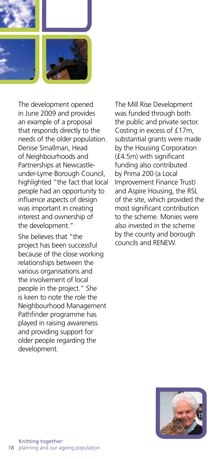

The development opened in June 2009 and provides an example of a proposal that responds directly to the needs of the older population. Denise Smallman, Head of Neighbourhoods and Partnerships at Newcastleunder-Lyme Borough Council, highlighted "the fact that local people had an opportunity to influence aspects of design was important in creating interest and ownership of the development."

She believes that "the project has been successful because of the close working relationships between the various organisations and the involvement of local people in the project." She is keen to note the role the Neighbourhood Management Pathfinder programme has played in raising awareness and providing support for older people regarding the development.

The Mill Rise Development was funded through both the public and private sector. Costing in excess of £17m, substantial grants were made by the Housing Corporation (£4.5m) with significant funding also contributed by Prima 200 (a Local Improvement Finance Trust) and Aspire Housing, the RSL of the site, which provided the most significant contribution to the scheme. Monies were also invested in the scheme by the county and borough councils and RENEW.

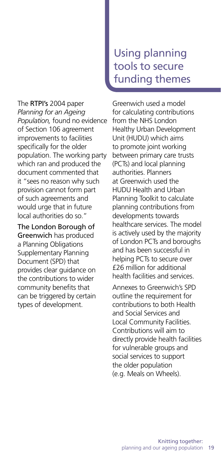The RTPI's 2004 paper *Planning for an Ageing Population,* found no evidence of Section 106 agreement improvements to facilities specifically for the older population. The working party which ran and produced the document commented that it "sees no reason why such provision cannot form part of such agreements and would urge that in future local authorities do so."

The London Borough of Greenwich has produced a Planning Obligations Supplementary Planning Document (SPD) that provides clear guidance on the contributions to wider community benefits that can be triggered by certain types of development.

## Using planning tools to secure funding themes

Greenwich used a model for calculating contributions from the NHS London Healthy Urban Development Unit (HUDU) which aims to promote joint working between primary care trusts (PCTs) and local planning authorities. Planners at Greenwich used the HUDU Health and Urban Planning Toolkit to calculate planning contributions from developments towards healthcare services. The model is actively used by the majority of London PCTs and boroughs and has been successful in helping PCTs to secure over £26 million for additional health facilities and services.

Annexes to Greenwich's SPD outline the requirement for contributions to both Health and Social Services and Local Community Facilities. Contributions will aim to directly provide health facilities for vulnerable groups and social services to support the older population (e.g. Meals on Wheels).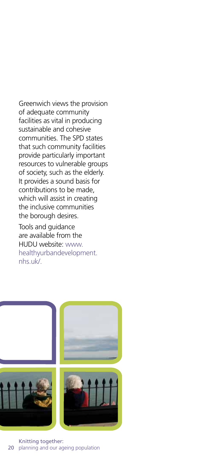Greenwich views the provision of adequate community facilities as vital in producing sustainable and cohesive communities. The SPD states that such community facilities provide particularly important resources to vulnerable groups of society, such as the elderly. It provides a sound basis for contributions to be made, which will assist in creating the inclusive communities the borough desires.

Tools and guidance are available from the HUDU website: www. healthyurbandevelopment. nhs.uk/.

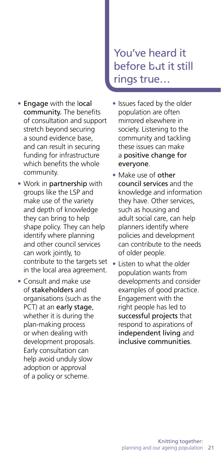- Engage with the local community. The benefits of consultation and support stretch beyond securing a sound evidence base, and can result in securing funding for infrastructure which benefits the whole community.
- Work in partnership with groups like the LSP and make use of the variety and depth of knowledge they can bring to help shape policy. They can help identify where planning and other council services can work jointly, to contribute to the targets set in the local area agreement.
- Consult and make use of stakeholders and organisations (such as the PCT) at an early stage, whether it is during the plan-making process or when dealing with development proposals. Early consultation can help avoid unduly slow adoption or approval of a policy or scheme.

## You've heard it before but it still rings true…

- Issues faced by the older population are often mirrored elsewhere in society. Listening to the community and tackling these issues can make a positive change for everyone.
- Make use of other council services and the knowledge and information they have. Other services, such as housing and adult social care, can help planners identify where policies and development can contribute to the needs of older people.
- Listen to what the older population wants from developments and consider examples of good practice. Engagement with the right people has led to successful projects that respond to aspirations of independent living and inclusive communities.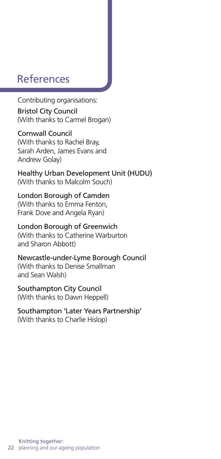### References

Contributing organisations:

Bristol City Council (With thanks to Carmel Brogan)

Cornwall Council (With thanks to Rachel Bray, Sarah Arden, James Evans and Andrew Golay)

Healthy Urban Development Unit (HUDU) (With thanks to Malcolm Souch)

#### London Borough of Camden

(With thanks to Emma Fenton, Frank Dove and Angela Ryan)

#### London Borough of Greenwich

(With thanks to Catherine Warburton and Sharon Abbott)

Newcastle-under-Lyme Borough Council (With thanks to Denise Smallman and Sean Walsh)

#### Southampton City Council

(With thanks to Dawn Heppell)

#### Southampton 'Later Years Partnership' (With thanks to Charlie Hislop)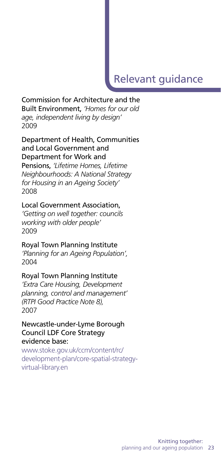## Relevant guidance

#### Commission for Architecture and the Built Environment, *'Homes for our old age, independent living by design'*  2009

#### Department of Health, Communities and Local Government and Department for Work and

Pensions, *'Lifetime Homes, Lifetime Neighbourhoods: A National Strategy for Housing in an Ageing Society'*  2008

#### Local Government Association,

*'Getting on well together: councils working with older people'*  2009

#### Royal Town Planning Institute

*'Planning for an Ageing Population',*  2004

#### Royal Town Planning Institute

*'Extra Care Housing, Development planning, control and management' (RTPI Good Practice Note 8),* 2007

#### Newcastle-under-Lyme Borough Council LDF Core Strategy evidence base:

www.stoke.gov.uk/ccm/content/rc/ development-plan/core-spatial-strategyvirtual-library.en